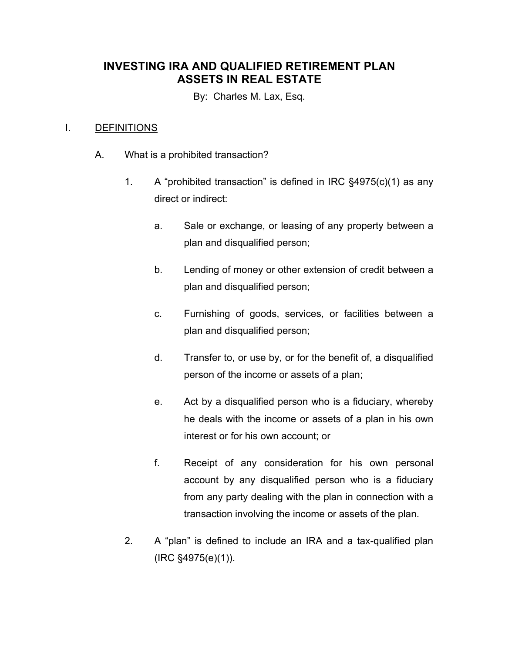## **INVESTING IRA AND QUALIFIED RETIREMENT PLAN ASSETS IN REAL ESTATE**

By: Charles M. Lax, Esq.

## I. DEFINITIONS

- A. What is a prohibited transaction?
	- 1. A "prohibited transaction" is defined in IRC §4975(c)(1) as any direct or indirect:
		- a. Sale or exchange, or leasing of any property between a plan and disqualified person;
		- b. Lending of money or other extension of credit between a plan and disqualified person;
		- c. Furnishing of goods, services, or facilities between a plan and disqualified person;
		- d. Transfer to, or use by, or for the benefit of, a disqualified person of the income or assets of a plan;
		- e. Act by a disqualified person who is a fiduciary, whereby he deals with the income or assets of a plan in his own interest or for his own account; or
		- f. Receipt of any consideration for his own personal account by any disqualified person who is a fiduciary from any party dealing with the plan in connection with a transaction involving the income or assets of the plan.
	- 2. A "plan" is defined to include an IRA and a tax-qualified plan (IRC §4975(e)(1)).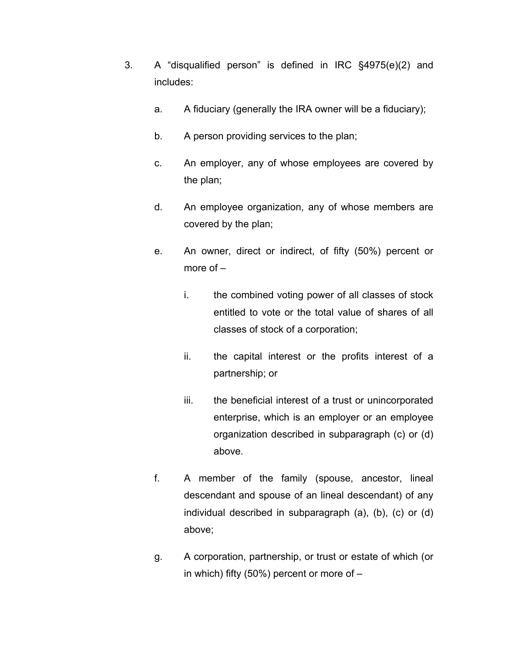- 3. A "disqualified person" is defined in IRC §4975(e)(2) and includes:
	- a. A fiduciary (generally the IRA owner will be a fiduciary);
	- b. A person providing services to the plan;
	- c. An employer, any of whose employees are covered by the plan;
	- d. An employee organization, any of whose members are covered by the plan;
	- e. An owner, direct or indirect, of fifty (50%) percent or more of –
		- i. the combined voting power of all classes of stock entitled to vote or the total value of shares of all classes of stock of a corporation;
		- ii. the capital interest or the profits interest of a partnership; or
		- iii. the beneficial interest of a trust or unincorporated enterprise, which is an employer or an employee organization described in subparagraph (c) or (d) above.
	- f. A member of the family (spouse, ancestor, lineal descendant and spouse of an lineal descendant) of any individual described in subparagraph (a), (b), (c) or (d) above;
	- g. A corporation, partnership, or trust or estate of which (or in which) fifty (50%) percent or more of –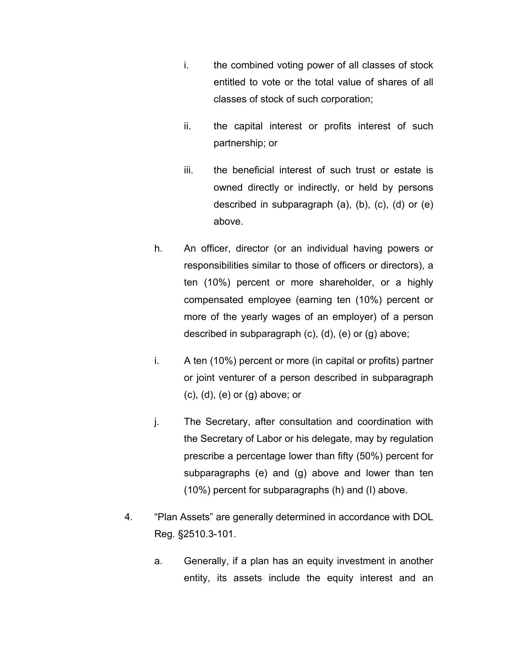- i. the combined voting power of all classes of stock entitled to vote or the total value of shares of all classes of stock of such corporation;
- ii. the capital interest or profits interest of such partnership; or
- iii. the beneficial interest of such trust or estate is owned directly or indirectly, or held by persons described in subparagraph (a), (b), (c), (d) or (e) above.
- h. An officer, director (or an individual having powers or responsibilities similar to those of officers or directors), a ten (10%) percent or more shareholder, or a highly compensated employee (earning ten (10%) percent or more of the yearly wages of an employer) of a person described in subparagraph (c), (d), (e) or (g) above;
- i. A ten (10%) percent or more (in capital or profits) partner or joint venturer of a person described in subparagraph (c), (d), (e) or (g) above; or
- j. The Secretary, after consultation and coordination with the Secretary of Labor or his delegate, may by regulation prescribe a percentage lower than fifty (50%) percent for subparagraphs (e) and (g) above and lower than ten (10%) percent for subparagraphs (h) and (I) above.
- 4. "Plan Assets" are generally determined in accordance with DOL Reg. §2510.3-101.
	- a. Generally, if a plan has an equity investment in another entity, its assets include the equity interest and an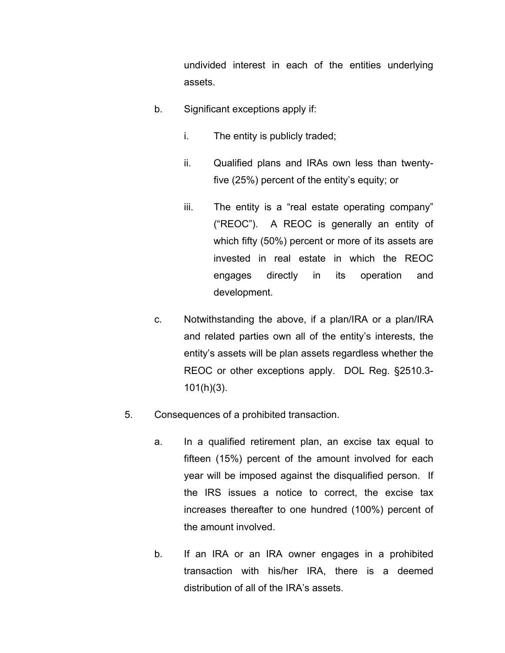undivided interest in each of the entities underlying assets.

- b. Significant exceptions apply if:
	- i. The entity is publicly traded;
	- ii. Qualified plans and IRAs own less than twentyfive (25%) percent of the entity's equity; or
	- iii. The entity is a "real estate operating company" ("REOC"). A REOC is generally an entity of which fifty (50%) percent or more of its assets are invested in real estate in which the REOC engages directly in its operation and development.
- c. Notwithstanding the above, if a plan/IRA or a plan/IRA and related parties own all of the entity's interests, the entity's assets will be plan assets regardless whether the REOC or other exceptions apply. DOL Reg. §2510.3- 101(h)(3).
- 5. Consequences of a prohibited transaction.
	- a. In a qualified retirement plan, an excise tax equal to fifteen (15%) percent of the amount involved for each year will be imposed against the disqualified person. If the IRS issues a notice to correct, the excise tax increases thereafter to one hundred (100%) percent of the amount involved.
	- b. If an IRA or an IRA owner engages in a prohibited transaction with his/her IRA, there is a deemed distribution of all of the IRA's assets.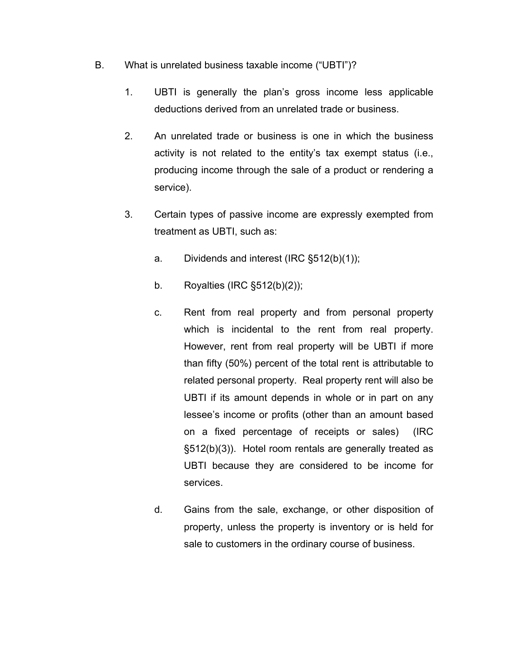- B. What is unrelated business taxable income ("UBTI")?
	- 1. UBTI is generally the plan's gross income less applicable deductions derived from an unrelated trade or business.
	- 2. An unrelated trade or business is one in which the business activity is not related to the entity's tax exempt status (i.e., producing income through the sale of a product or rendering a service).
	- 3. Certain types of passive income are expressly exempted from treatment as UBTI, such as:
		- a. Dividends and interest (IRC §512(b)(1));
		- b. Royalties (IRC §512(b)(2));
		- c. Rent from real property and from personal property which is incidental to the rent from real property. However, rent from real property will be UBTI if more than fifty (50%) percent of the total rent is attributable to related personal property. Real property rent will also be UBTI if its amount depends in whole or in part on any lessee's income or profits (other than an amount based on a fixed percentage of receipts or sales) (IRC §512(b)(3)). Hotel room rentals are generally treated as UBTI because they are considered to be income for services.
		- d. Gains from the sale, exchange, or other disposition of property, unless the property is inventory or is held for sale to customers in the ordinary course of business.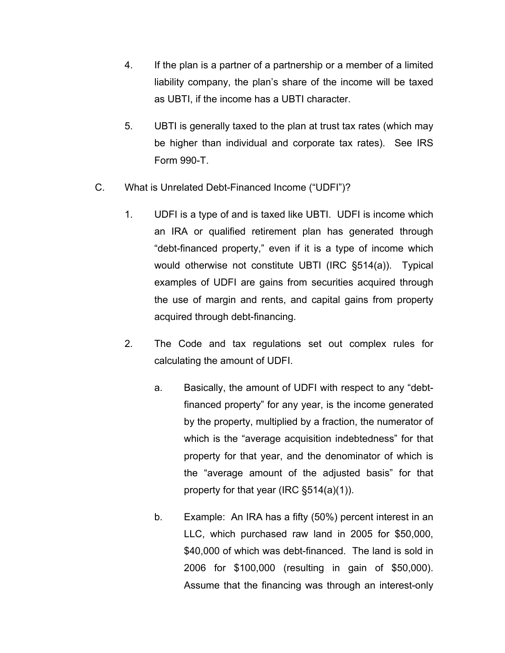- 4. If the plan is a partner of a partnership or a member of a limited liability company, the plan's share of the income will be taxed as UBTI, if the income has a UBTI character.
- 5. UBTI is generally taxed to the plan at trust tax rates (which may be higher than individual and corporate tax rates). See IRS Form 990-T.
- C. What is Unrelated Debt-Financed Income ("UDFI")?
	- 1. UDFI is a type of and is taxed like UBTI. UDFI is income which an IRA or qualified retirement plan has generated through "debt-financed property," even if it is a type of income which would otherwise not constitute UBTI (IRC §514(a)). Typical examples of UDFI are gains from securities acquired through the use of margin and rents, and capital gains from property acquired through debt-financing.
	- 2. The Code and tax regulations set out complex rules for calculating the amount of UDFI.
		- a. Basically, the amount of UDFI with respect to any "debtfinanced property" for any year, is the income generated by the property, multiplied by a fraction, the numerator of which is the "average acquisition indebtedness" for that property for that year, and the denominator of which is the "average amount of the adjusted basis" for that property for that year (IRC §514(a)(1)).
		- b. Example: An IRA has a fifty (50%) percent interest in an LLC, which purchased raw land in 2005 for \$50,000, \$40,000 of which was debt-financed. The land is sold in 2006 for \$100,000 (resulting in gain of \$50,000). Assume that the financing was through an interest-only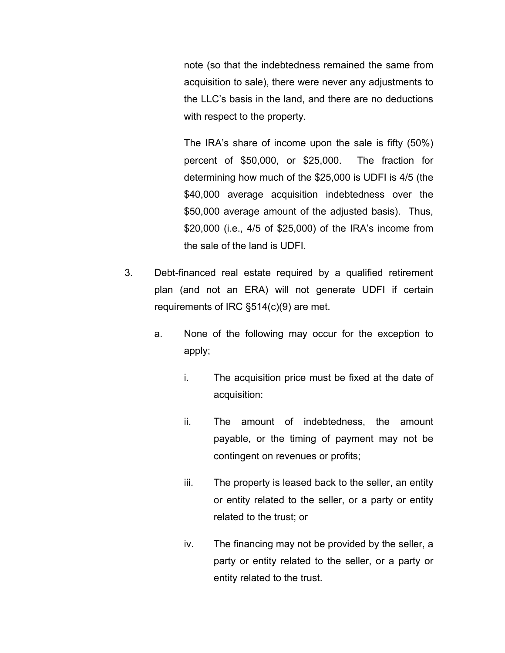note (so that the indebtedness remained the same from acquisition to sale), there were never any adjustments to the LLC's basis in the land, and there are no deductions with respect to the property.

The IRA's share of income upon the sale is fifty (50%) percent of \$50,000, or \$25,000. The fraction for determining how much of the \$25,000 is UDFI is 4/5 (the \$40,000 average acquisition indebtedness over the \$50,000 average amount of the adjusted basis). Thus, \$20,000 (i.e., 4/5 of \$25,000) of the IRA's income from the sale of the land is UDFI.

- 3. Debt-financed real estate required by a qualified retirement plan (and not an ERA) will not generate UDFI if certain requirements of IRC §514(c)(9) are met.
	- a. None of the following may occur for the exception to apply;
		- i. The acquisition price must be fixed at the date of acquisition:
		- ii. The amount of indebtedness, the amount payable, or the timing of payment may not be contingent on revenues or profits;
		- iii. The property is leased back to the seller, an entity or entity related to the seller, or a party or entity related to the trust; or
		- iv. The financing may not be provided by the seller, a party or entity related to the seller, or a party or entity related to the trust.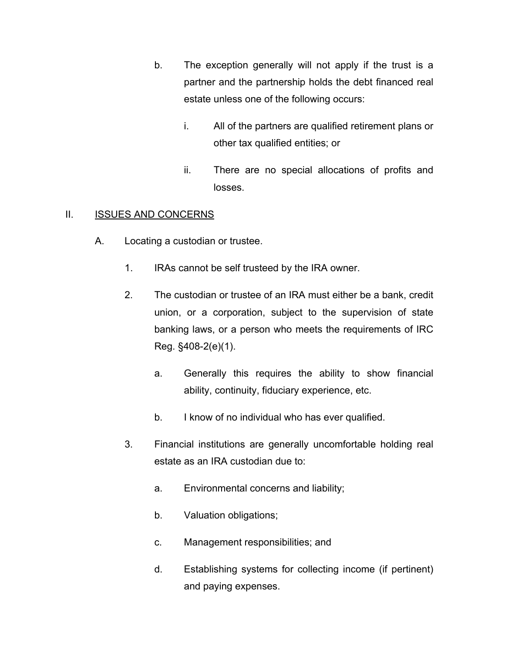- b. The exception generally will not apply if the trust is a partner and the partnership holds the debt financed real estate unless one of the following occurs:
	- i. All of the partners are qualified retirement plans or other tax qualified entities; or
	- ii. There are no special allocations of profits and losses.

## II. **ISSUES AND CONCERNS**

- A. Locating a custodian or trustee.
	- 1. IRAs cannot be self trusteed by the IRA owner.
	- 2. The custodian or trustee of an IRA must either be a bank, credit union, or a corporation, subject to the supervision of state banking laws, or a person who meets the requirements of IRC Reg. §408-2(e)(1).
		- a. Generally this requires the ability to show financial ability, continuity, fiduciary experience, etc.
		- b. I know of no individual who has ever qualified.
	- 3. Financial institutions are generally uncomfortable holding real estate as an IRA custodian due to:
		- a. Environmental concerns and liability;
		- b. Valuation obligations;
		- c. Management responsibilities; and
		- d. Establishing systems for collecting income (if pertinent) and paying expenses.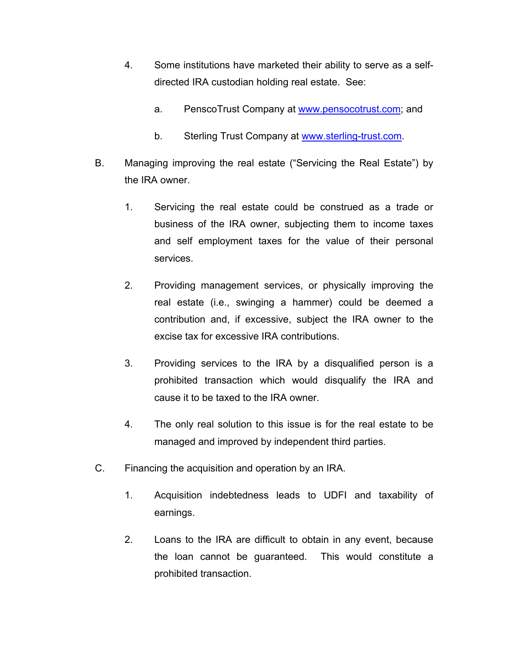- 4. Some institutions have marketed their ability to serve as a selfdirected IRA custodian holding real estate. See:
	- a. PenscoTrust Company at www.pensocotrust.com; and
	- b. Sterling Trust Company at www.sterling-trust.com.
- B. Managing improving the real estate ("Servicing the Real Estate") by the IRA owner.
	- 1. Servicing the real estate could be construed as a trade or business of the IRA owner, subjecting them to income taxes and self employment taxes for the value of their personal services.
	- 2. Providing management services, or physically improving the real estate (i.e., swinging a hammer) could be deemed a contribution and, if excessive, subject the IRA owner to the excise tax for excessive IRA contributions.
	- 3. Providing services to the IRA by a disqualified person is a prohibited transaction which would disqualify the IRA and cause it to be taxed to the IRA owner.
	- 4. The only real solution to this issue is for the real estate to be managed and improved by independent third parties.
- C. Financing the acquisition and operation by an IRA.
	- 1. Acquisition indebtedness leads to UDFI and taxability of earnings.
	- 2. Loans to the IRA are difficult to obtain in any event, because the loan cannot be guaranteed. This would constitute a prohibited transaction.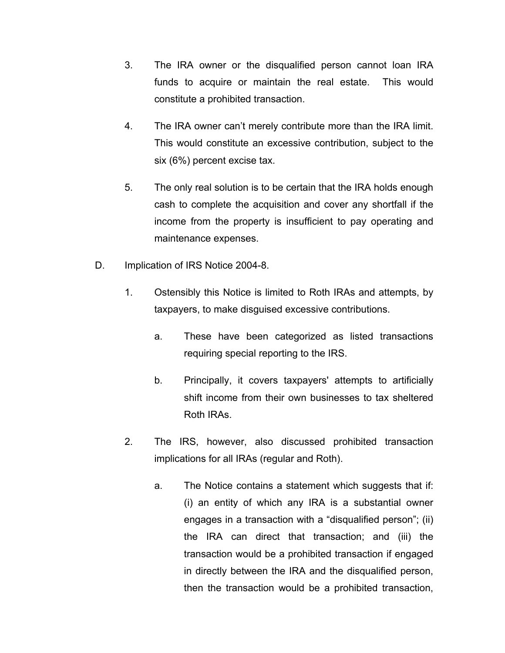- 3. The IRA owner or the disqualified person cannot loan IRA funds to acquire or maintain the real estate. This would constitute a prohibited transaction.
- 4. The IRA owner can't merely contribute more than the IRA limit. This would constitute an excessive contribution, subject to the six (6%) percent excise tax.
- 5. The only real solution is to be certain that the IRA holds enough cash to complete the acquisition and cover any shortfall if the income from the property is insufficient to pay operating and maintenance expenses.
- D. Implication of IRS Notice 2004-8.
	- 1. Ostensibly this Notice is limited to Roth IRAs and attempts, by taxpayers, to make disguised excessive contributions.
		- a. These have been categorized as listed transactions requiring special reporting to the IRS.
		- b. Principally, it covers taxpayers' attempts to artificially shift income from their own businesses to tax sheltered Roth IRAs.
	- 2. The IRS, however, also discussed prohibited transaction implications for all IRAs (regular and Roth).
		- a. The Notice contains a statement which suggests that if: (i) an entity of which any IRA is a substantial owner engages in a transaction with a "disqualified person"; (ii) the IRA can direct that transaction; and (iii) the transaction would be a prohibited transaction if engaged in directly between the IRA and the disqualified person, then the transaction would be a prohibited transaction,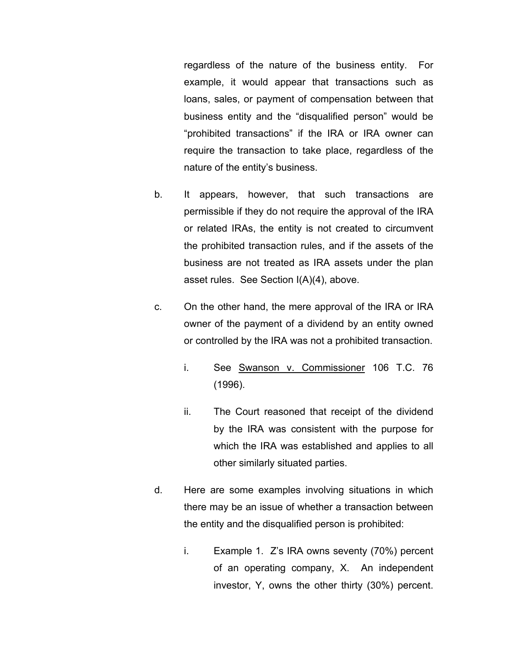regardless of the nature of the business entity. For example, it would appear that transactions such as loans, sales, or payment of compensation between that business entity and the "disqualified person" would be "prohibited transactions" if the IRA or IRA owner can require the transaction to take place, regardless of the nature of the entity's business.

- b. It appears, however, that such transactions are permissible if they do not require the approval of the IRA or related IRAs, the entity is not created to circumvent the prohibited transaction rules, and if the assets of the business are not treated as IRA assets under the plan asset rules. See Section I(A)(4), above.
- c. On the other hand, the mere approval of the IRA or IRA owner of the payment of a dividend by an entity owned or controlled by the IRA was not a prohibited transaction.
	- i. See Swanson v. Commissioner 106 T.C. 76 (1996).
	- ii. The Court reasoned that receipt of the dividend by the IRA was consistent with the purpose for which the IRA was established and applies to all other similarly situated parties.
- d. Here are some examples involving situations in which there may be an issue of whether a transaction between the entity and the disqualified person is prohibited:
	- i. Example 1. Z's IRA owns seventy (70%) percent of an operating company, X. An independent investor, Y, owns the other thirty (30%) percent.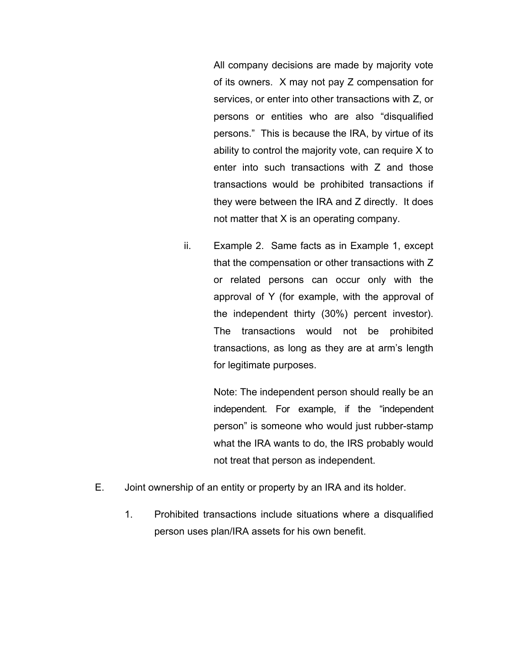All company decisions are made by majority vote of its owners. X may not pay Z compensation for services, or enter into other transactions with Z, or persons or entities who are also "disqualified persons." This is because the IRA, by virtue of its ability to control the majority vote, can require X to enter into such transactions with Z and those transactions would be prohibited transactions if they were between the IRA and Z directly. It does not matter that X is an operating company.

ii. Example 2. Same facts as in Example 1, except that the compensation or other transactions with Z or related persons can occur only with the approval of Y (for example, with the approval of the independent thirty (30%) percent investor). The transactions would not be prohibited transactions, as long as they are at arm's length for legitimate purposes.

> Note: The independent person should really be an independent. For example, if the "independent person" is someone who would just rubber-stamp what the IRA wants to do, the IRS probably would not treat that person as independent.

- E. Joint ownership of an entity or property by an IRA and its holder.
	- 1. Prohibited transactions include situations where a disqualified person uses plan/IRA assets for his own benefit.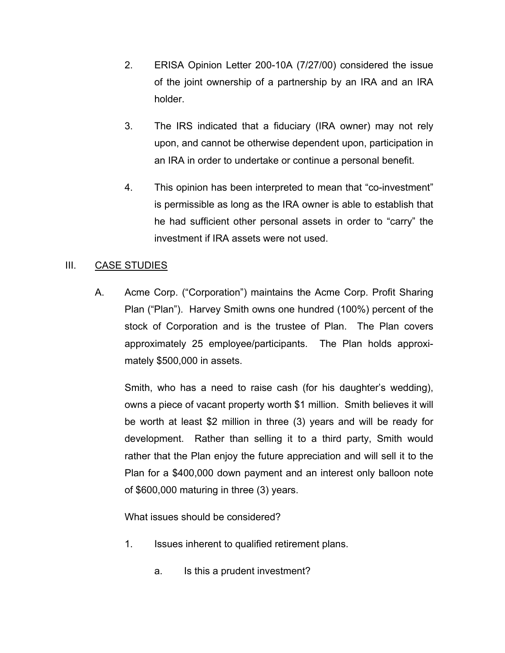- 2. ERISA Opinion Letter 200-10A (7/27/00) considered the issue of the joint ownership of a partnership by an IRA and an IRA holder.
- 3. The IRS indicated that a fiduciary (IRA owner) may not rely upon, and cannot be otherwise dependent upon, participation in an IRA in order to undertake or continue a personal benefit.
- 4. This opinion has been interpreted to mean that "co-investment" is permissible as long as the IRA owner is able to establish that he had sufficient other personal assets in order to "carry" the investment if IRA assets were not used.

## III. CASE STUDIES

A. Acme Corp. ("Corporation") maintains the Acme Corp. Profit Sharing Plan ("Plan"). Harvey Smith owns one hundred (100%) percent of the stock of Corporation and is the trustee of Plan. The Plan covers approximately 25 employee/participants. The Plan holds approximately \$500,000 in assets.

Smith, who has a need to raise cash (for his daughter's wedding), owns a piece of vacant property worth \$1 million. Smith believes it will be worth at least \$2 million in three (3) years and will be ready for development. Rather than selling it to a third party, Smith would rather that the Plan enjoy the future appreciation and will sell it to the Plan for a \$400,000 down payment and an interest only balloon note of \$600,000 maturing in three (3) years.

What issues should be considered?

- 1. Issues inherent to qualified retirement plans.
	- a. Is this a prudent investment?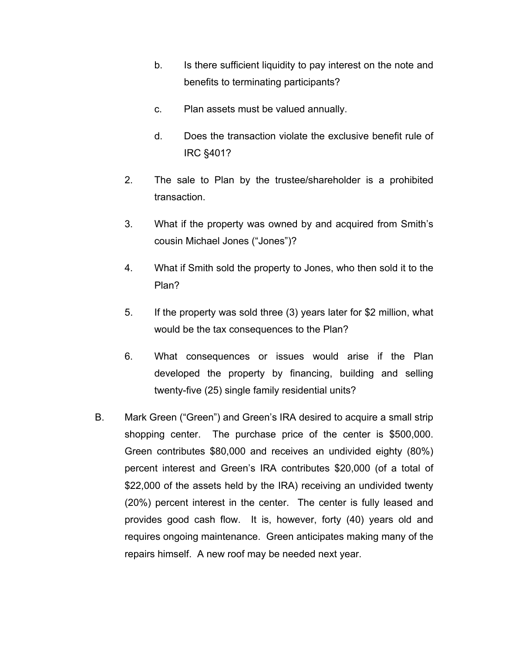- b. Is there sufficient liquidity to pay interest on the note and benefits to terminating participants?
- c. Plan assets must be valued annually.
- d. Does the transaction violate the exclusive benefit rule of IRC §401?
- 2. The sale to Plan by the trustee/shareholder is a prohibited transaction.
- 3. What if the property was owned by and acquired from Smith's cousin Michael Jones ("Jones")?
- 4. What if Smith sold the property to Jones, who then sold it to the Plan?
- 5. If the property was sold three (3) years later for \$2 million, what would be the tax consequences to the Plan?
- 6. What consequences or issues would arise if the Plan developed the property by financing, building and selling twenty-five (25) single family residential units?
- B. Mark Green ("Green") and Green's IRA desired to acquire a small strip shopping center. The purchase price of the center is \$500,000. Green contributes \$80,000 and receives an undivided eighty (80%) percent interest and Green's IRA contributes \$20,000 (of a total of \$22,000 of the assets held by the IRA) receiving an undivided twenty (20%) percent interest in the center. The center is fully leased and provides good cash flow. It is, however, forty (40) years old and requires ongoing maintenance. Green anticipates making many of the repairs himself. A new roof may be needed next year.